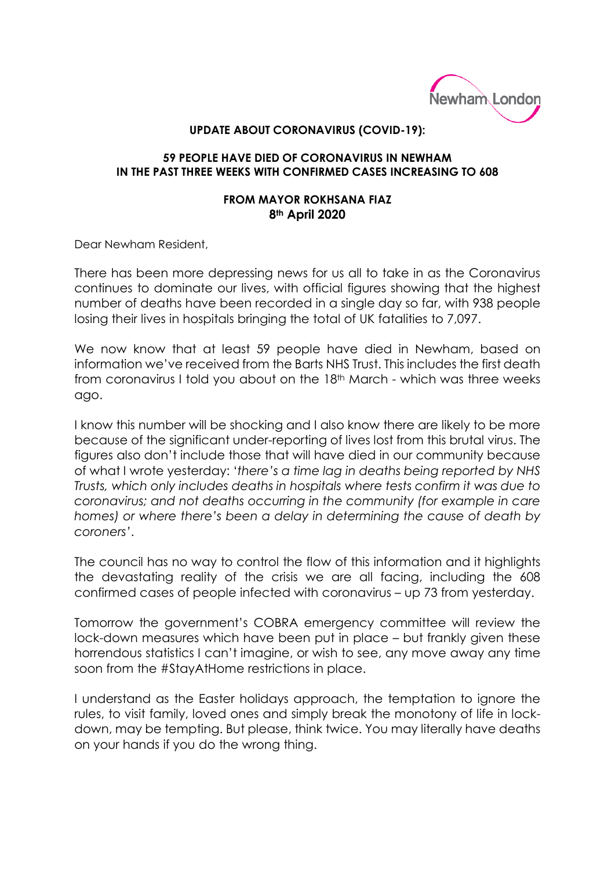

## **UPDATE ABOUT CORONAVIRUS (COVID-19):**

## **59 PEOPLE HAVE DIED OF CORONAVIRUS IN NEWHAM IN THE PAST THREE WEEKS WITH CONFIRMED CASES INCREASING TO 608**

## **FROM MAYOR ROKHSANA FIAZ 8th April 2020**

Dear Newham Resident,

There has been more depressing news for us all to take in as the Coronavirus continues to dominate our lives, with official figures showing that the highest number of deaths have been recorded in a single day so far, with 938 people losing their lives in hospitals bringing the total of UK fatalities to 7,097.

We now know that at least 59 people have died in Newham, based on information we've received from the Barts NHS Trust. This includes the first death from coronavirus I told you about on the 18th March - which was three weeks ago.

I know this number will be shocking and I also know there are likely to be more because of the significant under-reporting of lives lost from this brutal virus. The figures also don't include those that will have died in our community because of what I wrote yesterday: '*there's a time lag in deaths being reported by NHS Trusts, which only includes deaths in hospitals where tests confirm it was due to coronavirus; and not deaths occurring in the community (for example in care homes) or where there's been a delay in determining the cause of death by coroners'*.

The council has no way to control the flow of this information and it highlights the devastating reality of the crisis we are all facing, including the 608 confirmed cases of people infected with coronavirus – up 73 from yesterday.

Tomorrow the government's COBRA emergency committee will review the lock-down measures which have been put in place – but frankly given these horrendous statistics I can't imagine, or wish to see, any move away any time soon from the #StayAtHome restrictions in place.

I understand as the Easter holidays approach, the temptation to ignore the rules, to visit family, loved ones and simply break the monotony of life in lockdown, may be tempting. But please, think twice. You may literally have deaths on your hands if you do the wrong thing.